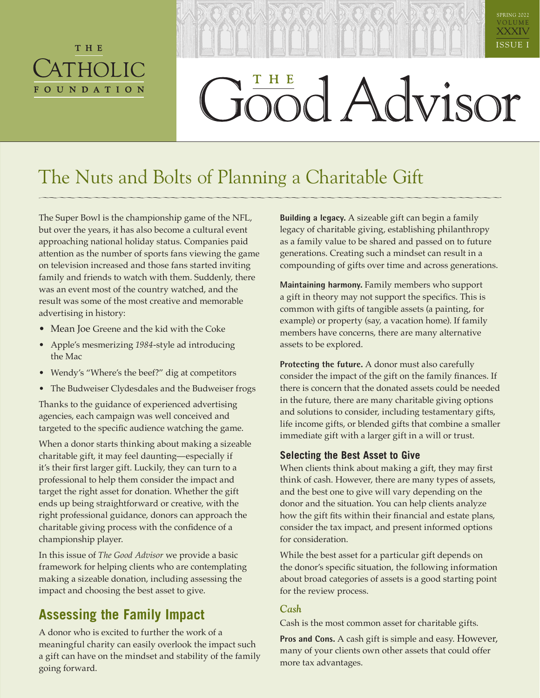# THE ATHOLIC **FOUNDATION**

# XXXIV ISSUE I bod Advisor

SPRING 2022 V O L U M E

# The Nuts and Bolts of Planning a Charitable Gift

The Super Bowl is the championship game of the NFL, but over the years, it has also become a cultural event approaching national holiday status. Companies paid attention as the number of sports fans viewing the game on television increased and those fans started inviting family and friends to watch with them. Suddenly, there was an event most of the country watched, and the result was some of the most creative and memorable advertising in history:

- Mean Joe Greene and the kid with the Coke
- Apple's mesmerizing *1984*-style ad introducing the Mac
- Wendy's "Where's the beef?" dig at competitors
- The Budweiser Clydesdales and the Budweiser frogs

Thanks to the guidance of experienced advertising agencies, each campaign was well conceived and targeted to the specific audience watching the game.

When a donor starts thinking about making a sizeable charitable gift, it may feel daunting—especially if it's their first larger gift. Luckily, they can turn to a professional to help them consider the impact and target the right asset for donation. Whether the gift ends up being straightforward or creative, with the right professional guidance, donors can approach the charitable giving process with the confidence of a championship player.

In this issue of *The Good Advisor* we provide a basic framework for helping clients who are contemplating making a sizeable donation, including assessing the impact and choosing the best asset to give.

# **Assessing the Family Impact**

A donor who is excited to further the work of a meaningful charity can easily overlook the impact such a gift can have on the mindset and stability of the family going forward.

**Building a legacy.** A sizeable gift can begin a family legacy of charitable giving, establishing philanthropy as a family value to be shared and passed on to future generations. Creating such a mindset can result in a compounding of gifts over time and across generations.

**Maintaining harmony.** Family members who support a gift in theory may not support the specifics. This is common with gifts of tangible assets (a painting, for example) or property (say, a vacation home). If family members have concerns, there are many alternative assets to be explored.

**Protecting the future.** A donor must also carefully consider the impact of the gift on the family finances. If there is concern that the donated assets could be needed in the future, there are many charitable giving options and solutions to consider, including testamentary gifts, life income gifts, or blended gifts that combine a smaller immediate gift with a larger gift in a will or trust.

#### **Selecting the Best Asset to Give**

When clients think about making a gift, they may first think of cash. However, there are many types of assets, and the best one to give will vary depending on the donor and the situation. You can help clients analyze how the gift fits within their financial and estate plans, consider the tax impact, and present informed options for consideration.

While the best asset for a particular gift depends on the donor's specific situation, the following information about broad categories of assets is a good starting point for the review process.

#### *Cash*

Cash is the most common asset for charitable gifts.

**Pros and Cons.** A cash gift is simple and easy. However, many of your clients own other assets that could offer more tax advantages.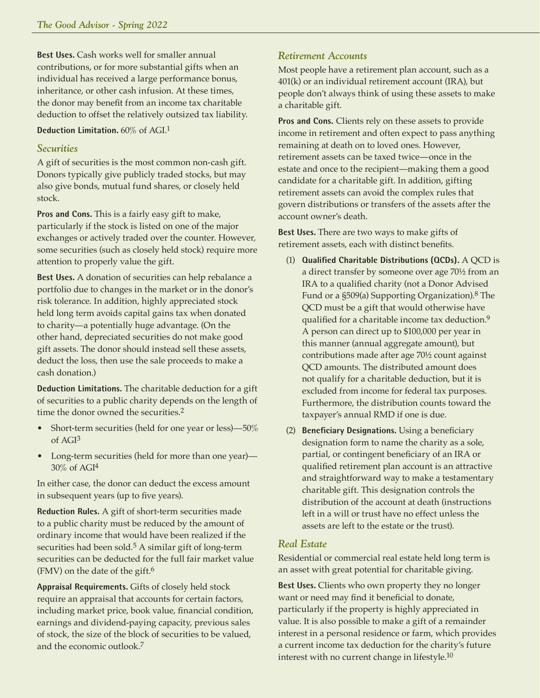**Best Uses.** Cash works well for smaller annual contributions, or for more substantial gifts when an individual has received a large performance bonus, inheritance, or other cash infusion. At these times, the donor may benefit from an income tax charitable deduction to offset the relatively outsized tax liability.

**Deduction Limitation.** 60% of AGI.1

#### *Securities*

A gift of securities is the most common non-cash gift. Donors typically give publicly traded stocks, but may also give bonds, mutual fund shares, or closely held stock.

**Pros and Cons.** This is a fairly easy gift to make, particularly if the stock is listed on one of the major exchanges or actively traded over the counter. However, some securities (such as closely held stock) require more attention to properly value the gift.

**Best Uses.** A donation of securities can help rebalance a portfolio due to changes in the market or in the donor's risk tolerance. In addition, highly appreciated stock held long term avoids capital gains tax when donated to charity—a potentially huge advantage. (On the other hand, depreciated securities do not make good gift assets. The donor should instead sell these assets, deduct the loss, then use the sale proceeds to make a cash donation.)

**Deduction Limitations.** The charitable deduction for a gift of securities to a public charity depends on the length of time the donor owned the securities.<sup>2</sup>

- Short-term securities (held for one year or less)—50% of AGI3
- Long-term securities (held for more than one year)— 30% of AGI4

In either case, the donor can deduct the excess amount in subsequent years (up to five years).

**Reduction Rules.** A gift of short-term securities made to a public charity must be reduced by the amount of ordinary income that would have been realized if the securities had been sold.<sup>5</sup> A similar gift of long-term securities can be deducted for the full fair market value (FMV) on the date of the gift.6

**Appraisal Requirements.** Gifts of closely held stock require an appraisal that accounts for certain factors, including market price, book value, financial condition, earnings and dividend-paying capacity, previous sales of stock, the size of the block of securities to be valued, and the economic outlook.7

#### *Retirement Accounts*

Most people have a retirement plan account, such as a 401(k) or an individual retirement account (IRA), but people don't always think of using these assets to make a charitable gift.

**Pros and Cons.** Clients rely on these assets to provide income in retirement and often expect to pass anything remaining at death on to loved ones. However, retirement assets can be taxed twice—once in the estate and once to the recipient—making them a good candidate for a charitable gift. In addition, gifting retirement assets can avoid the complex rules that govern distributions or transfers of the assets after the account owner's death.

**Best Uses.** There are two ways to make gifts of retirement assets, each with distinct benefits.

- (1) **Qualified Charitable Distributions (QCDs).** A QCD is a direct transfer by someone over age 70½ from an IRA to a qualified charity (not a Donor Advised Fund or a §509(a) Supporting Organization).8 The QCD must be a gift that would otherwise have qualified for a charitable income tax deduction.<sup>9</sup> A person can direct up to \$100,000 per year in this manner (annual aggregate amount), but contributions made after age 70½ count against QCD amounts. The distributed amount does not qualify for a charitable deduction, but it is excluded from income for federal tax purposes. Furthermore, the distribution counts toward the taxpayer's annual RMD if one is due.
- (2) **Beneficiary Designations.** Using a beneficiary designation form to name the charity as a sole, partial, or contingent beneficiary of an IRA or qualified retirement plan account is an attractive and straightforward way to make a testamentary charitable gift. This designation controls the distribution of the account at death (instructions left in a will or trust have no effect unless the assets are left to the estate or the trust).

#### *Real Estate*

Residential or commercial real estate held long term is an asset with great potential for charitable giving.

**Best Uses.** Clients who own property they no longer want or need may find it beneficial to donate, particularly if the property is highly appreciated in value. It is also possible to make a gift of a remainder interest in a personal residence or farm, which provides a current income tax deduction for the charity's future interest with no current change in lifestyle.10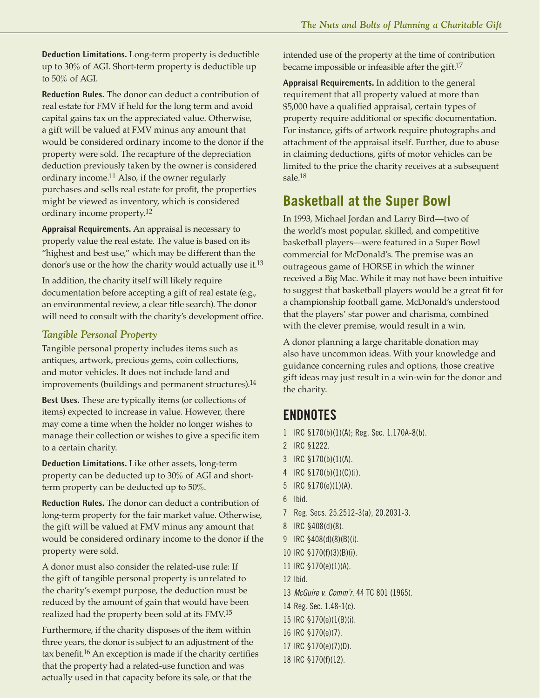**Deduction Limitations.** Long-term property is deductible up to 30% of AGI. Short-term property is deductible up to 50% of AGI.

**Reduction Rules.** The donor can deduct a contribution of real estate for FMV if held for the long term and avoid capital gains tax on the appreciated value. Otherwise, a gift will be valued at FMV minus any amount that would be considered ordinary income to the donor if the property were sold. The recapture of the depreciation deduction previously taken by the owner is considered ordinary income.11 Also, if the owner regularly purchases and sells real estate for profit, the properties might be viewed as inventory, which is considered ordinary income property.12

**Appraisal Requirements.** An appraisal is necessary to properly value the real estate. The value is based on its "highest and best use," which may be different than the donor's use or the how the charity would actually use it.13

In addition, the charity itself will likely require documentation before accepting a gift of real estate (e.g., an environmental review, a clear title search). The donor will need to consult with the charity's development office.

#### *Tangible Personal Property*

Tangible personal property includes items such as antiques, artwork, precious gems, coin collections, and motor vehicles. It does not include land and improvements (buildings and permanent structures).<sup>14</sup>

**Best Uses.** These are typically items (or collections of items) expected to increase in value. However, there may come a time when the holder no longer wishes to manage their collection or wishes to give a specific item to a certain charity.

**Deduction Limitations.** Like other assets, long-term property can be deducted up to 30% of AGI and shortterm property can be deducted up to 50%.

**Reduction Rules.** The donor can deduct a contribution of long-term property for the fair market value. Otherwise, the gift will be valued at FMV minus any amount that would be considered ordinary income to the donor if the property were sold.

A donor must also consider the related-use rule: If the gift of tangible personal property is unrelated to the charity's exempt purpose, the deduction must be reduced by the amount of gain that would have been realized had the property been sold at its FMV.15

Furthermore, if the charity disposes of the item within three years, the donor is subject to an adjustment of the tax benefit.16 An exception is made if the charity certifies that the property had a related-use function and was actually used in that capacity before its sale, or that the

intended use of the property at the time of contribution became impossible or infeasible after the gift.17

**Appraisal Requirements.** In addition to the general requirement that all property valued at more than \$5,000 have a qualified appraisal, certain types of property require additional or specific documentation. For instance, gifts of artwork require photographs and attachment of the appraisal itself. Further, due to abuse in claiming deductions, gifts of motor vehicles can be limited to the price the charity receives at a subsequent sale.18

## **Basketball at the Super Bowl**

In 1993, Michael Jordan and Larry Bird—two of the world's most popular, skilled, and competitive basketball players—were featured in a Super Bowl commercial for McDonald's. The premise was an outrageous game of HORSE in which the winner received a Big Mac. While it may not have been intuitive to suggest that basketball players would be a great fit for a championship football game, McDonald's understood that the players' star power and charisma, combined with the clever premise, would result in a win.

A donor planning a large charitable donation may also have uncommon ideas. With your knowledge and guidance concerning rules and options, those creative gift ideas may just result in a win-win for the donor and the charity.

### **ENDNOTES**

- 1 IRC §170(b)(1)(A); Reg. Sec. 1.170A-8(b).
- 2 IRC §1222.
- 3 IRC §170(b)(1)(A).
- 4 IRC §170(b)(1)(C)(i).
- 5 IRC §170(e)(1)(A).
- 6 Ibid.
- 7 Reg. Secs. 25.2512-3(a), 20.2031-3.
- 8 IRC §408(d)(8).
- 9 IRC §408(d)(8)(B)(i).
- 10 IRC §170(f)(3)(B)(i).
- 11 IRC §170(e)(1)(A).
- 12 Ibid.
- 13 *McGuire v. Comm'r*, 44 TC 801 (1965).
- 14 Reg. Sec. 1.48-1(c).
- 15 IRC §170(e)(1(B)(i).
- 16 IRC §170(e)(7).
- 17 IRC §170(e)(7)(D).
- 18 IRC §170(f)(12).